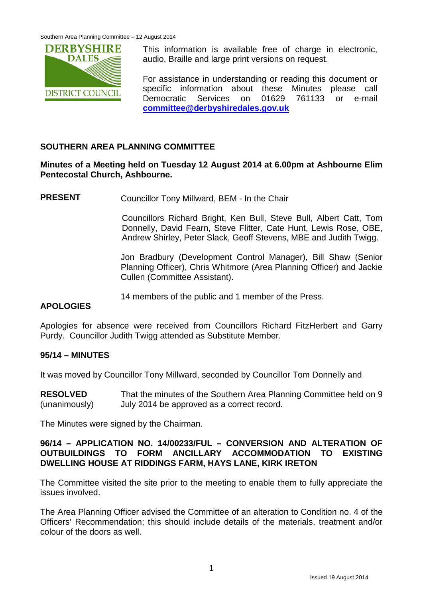

This information is available free of charge in electronic, audio, Braille and large print versions on request.

For assistance in understanding or reading this document or specific information about these Minutes please call Democratic Services on 01629 761133 or e-mail **[committee@derbyshiredales.gov.uk](mailto:committee@derbyshiredales.gov.uk)**

## **SOUTHERN AREA PLANNING COMMITTEE**

#### **Minutes of a Meeting held on Tuesday 12 August 2014 at 6.00pm at Ashbourne Elim Pentecostal Church, Ashbourne.**

**PRESENT** Councillor Tony Millward, BEM - In the Chair

Councillors Richard Bright, Ken Bull, Steve Bull, Albert Catt, Tom Donnelly, David Fearn, Steve Flitter, Cate Hunt, Lewis Rose, OBE, Andrew Shirley, Peter Slack, Geoff Stevens, MBE and Judith Twigg.

Jon Bradbury (Development Control Manager), Bill Shaw (Senior Planning Officer), Chris Whitmore (Area Planning Officer) and Jackie Cullen (Committee Assistant).

14 members of the public and 1 member of the Press.

#### **APOLOGIES**

Apologies for absence were received from Councillors Richard FitzHerbert and Garry Purdy. Councillor Judith Twigg attended as Substitute Member.

#### **95/14 – MINUTES**

It was moved by Councillor Tony Millward, seconded by Councillor Tom Donnelly and

**RESOLVED** (unanimously) That the minutes of the Southern Area Planning Committee held on 9 July 2014 be approved as a correct record.

The Minutes were signed by the Chairman.

#### **96/14 – APPLICATION NO. 14/00233/FUL – CONVERSION AND ALTERATION OF OUTBUILDINGS TO FORM ANCILLARY ACCOMMODATION TO EXISTING DWELLING HOUSE AT RIDDINGS FARM, HAYS LANE, KIRK IRETON**

The Committee visited the site prior to the meeting to enable them to fully appreciate the issues involved.

The Area Planning Officer advised the Committee of an alteration to Condition no. 4 of the Officers' Recommendation; this should include details of the materials, treatment and/or colour of the doors as well.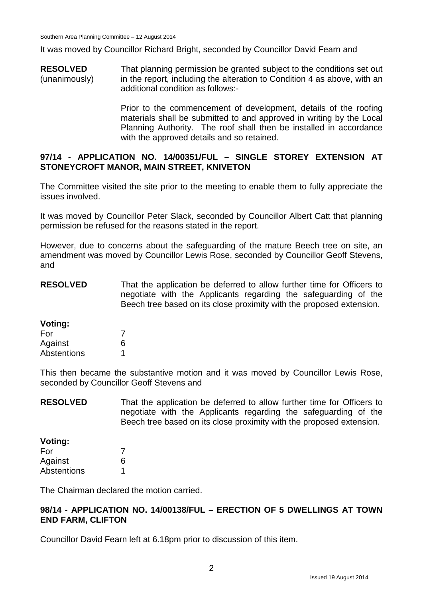It was moved by Councillor Richard Bright, seconded by Councillor David Fearn and

**RESOLVED** (unanimously) That planning permission be granted subject to the conditions set out in the report, including the alteration to Condition 4 as above, with an additional condition as follows:-

> Prior to the commencement of development, details of the roofing materials shall be submitted to and approved in writing by the Local Planning Authority. The roof shall then be installed in accordance with the approved details and so retained.

#### **97/14 - APPLICATION NO. 14/00351/FUL – SINGLE STOREY EXTENSION AT STONEYCROFT MANOR, MAIN STREET, KNIVETON**

The Committee visited the site prior to the meeting to enable them to fully appreciate the issues involved.

It was moved by Councillor Peter Slack, seconded by Councillor Albert Catt that planning permission be refused for the reasons stated in the report.

However, due to concerns about the safeguarding of the mature Beech tree on site, an amendment was moved by Councillor Lewis Rose, seconded by Councillor Geoff Stevens, and

**RESOLVED** That the application be deferred to allow further time for Officers to negotiate with the Applicants regarding the safeguarding of the Beech tree based on its close proximity with the proposed extension.

| Voting:     |   |
|-------------|---|
| For         | 7 |
| Against     | 6 |
| Abstentions |   |

This then became the substantive motion and it was moved by Councillor Lewis Rose, seconded by Councillor Geoff Stevens and

**RESOLVED** That the application be deferred to allow further time for Officers to negotiate with the Applicants regarding the safeguarding of the Beech tree based on its close proximity with the proposed extension.

| Voting:     |   |
|-------------|---|
| For         | 7 |
| Against     | 6 |
| Abstentions | 1 |

The Chairman declared the motion carried.

#### **98/14 - APPLICATION NO. 14/00138/FUL – ERECTION OF 5 DWELLINGS AT TOWN END FARM, CLIFTON**

Councillor David Fearn left at 6.18pm prior to discussion of this item.